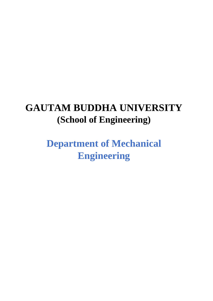# **GAUTAM BUDDHA UNIVERSITY (School of Engineering)**

**Department of Mechanical Engineering**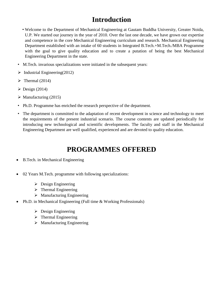## **Introduction**

- Welcome to the Department of Mechanical Engineering at Gautam Buddha University, Greater Noida, U.P. We started our journey in the year of 2010. Over the last one decade, we have grown our expertise and competence in the core Mechanical Engineering curriculum and research. Mechanical Engineering Department established with an intake of 60 students in Integrated B.Tech.+M.Tech./MBA Programme with the goal to give quality education and to create a putation of being the best Mechanical Engineering Department in the state.
- M.Tech. invarious specializations were initiated in the subsequent years:
- $\triangleright$  Industrial Engineering(2012)
- $\triangleright$  Thermal (2014)
- $\triangleright$  Design (2014)
- $\triangleright$  Manufacturing (2015)
- Ph.D. Programme has enriched the research perspective of the department.
- The department is committed to the adaptation of recent development in science and technology to meet the requirements of the present industrial scenario. The course contents are updated periodically for introducing new technological and scientific developments. The faculty and staff in the Mechanical Engineering Department are well qualified, experienced and are devoted to quality education.

### **PROGRAMMES OFFERED**

- B.Tech. in Mechanical Engineering
- 02 Years M.Tech. programme with following specializations:
	- $\triangleright$  Design Engineering
	- $\triangleright$  Thermal Engineering
	- $\triangleright$  Manufacturing Engineering
- Ph.D. in Mechanical Engineering (Full time & Working Professionals)
	- $\triangleright$  Design Engineering
	- $\triangleright$  Thermal Engineering
	- $\triangleright$  Manufacturing Engineering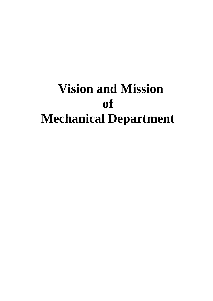# **Vision and Mission of Mechanical Department**